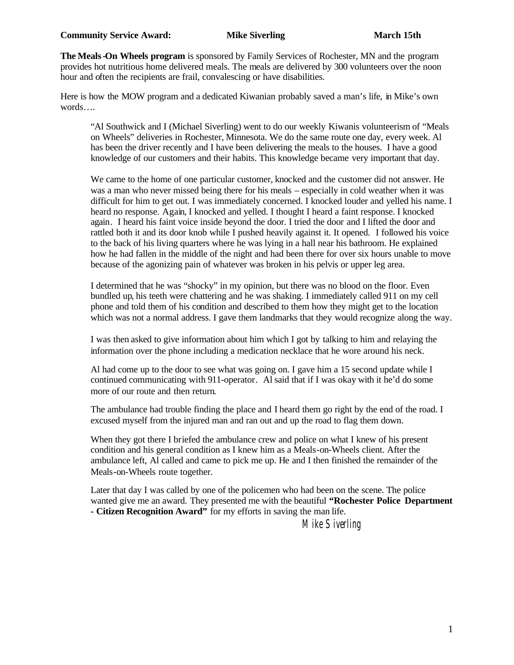**The Meals-On Wheels program** is sponsored by Family Services of Rochester, MN and the program provides hot nutritious home delivered meals. The meals are delivered by 300 volunteers over the noon hour and often the recipients are frail, convalescing or have disabilities.

Here is how the MOW program and a dedicated Kiwanian probably saved a man's life, in Mike's own words….

"Al Southwick and I (Michael Siverling) went to do our weekly Kiwanis volunteerism of "Meals on Wheels" deliveries in Rochester, Minnesota. We do the same route one day, every week. Al has been the driver recently and I have been delivering the meals to the houses. I have a good knowledge of our customers and their habits. This knowledge became very important that day.

We came to the home of one particular customer, knocked and the customer did not answer. He was a man who never missed being there for his meals – especially in cold weather when it was difficult for him to get out. I was immediately concerned. I knocked louder and yelled his name. I heard no response. Again, I knocked and yelled. I thought I heard a faint response. I knocked again. I heard his faint voice inside beyond the door. I tried the door and I lifted the door and rattled both it and its door knob while I pushed heavily against it. It opened. I followed his voice to the back of his living quarters where he was lying in a hall near his bathroom. He explained how he had fallen in the middle of the night and had been there for over six hours unable to move because of the agonizing pain of whatever was broken in his pelvis or upper leg area.

I determined that he was "shocky" in my opinion, but there was no blood on the floor. Even bundled up, his teeth were chattering and he was shaking. I immediately called 911 on my cell phone and told them of his condition and described to them how they might get to the location which was not a normal address. I gave them landmarks that they would recognize along the way.

I was then asked to give information about him which I got by talking to him and relaying the information over the phone including a medication necklace that he wore around his neck.

Al had come up to the door to see what was going on. I gave him a 15 second update while I continued communicating with 911-operator. Al said that if I was okay with it he'd do some more of our route and then return.

The ambulance had trouble finding the place and I heard them go right by the end of the road. I excused myself from the injured man and ran out and up the road to flag them down.

When they got there I briefed the ambulance crew and police on what I knew of his present condition and his general condition as I knew him as a Meals-on-Wheels client. After the ambulance left, Al called and came to pick me up. He and I then finished the remainder of the Meals-on-Wheels route together.

Later that day I was called by one of the policemen who had been on the scene. The police wanted give me an award. They presented me with the beautiful **"Rochester Police Department - Citizen Recognition Award"** for my efforts in saving the man life.

Mike Siverling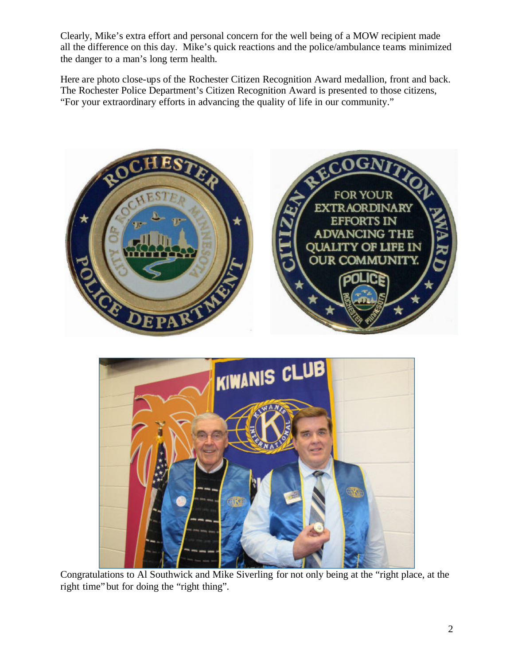Clearly, Mike's extra effort and personal concern for the well being of a MOW recipient made all the difference on this day. Mike's quick reactions and the police/ambulance teams minimized the danger to a man's long term health.

Here are photo close-ups of the Rochester Citizen Recognition Award medallion, front and back. The Rochester Police Department's Citizen Recognition Award is presented to those citizens, "For your extraordinary efforts in advancing the quality of life in our community."





Congratulations to Al Southwick and Mike Siverling for not only being at the "right place, at the right time" but for doing the "right thing".